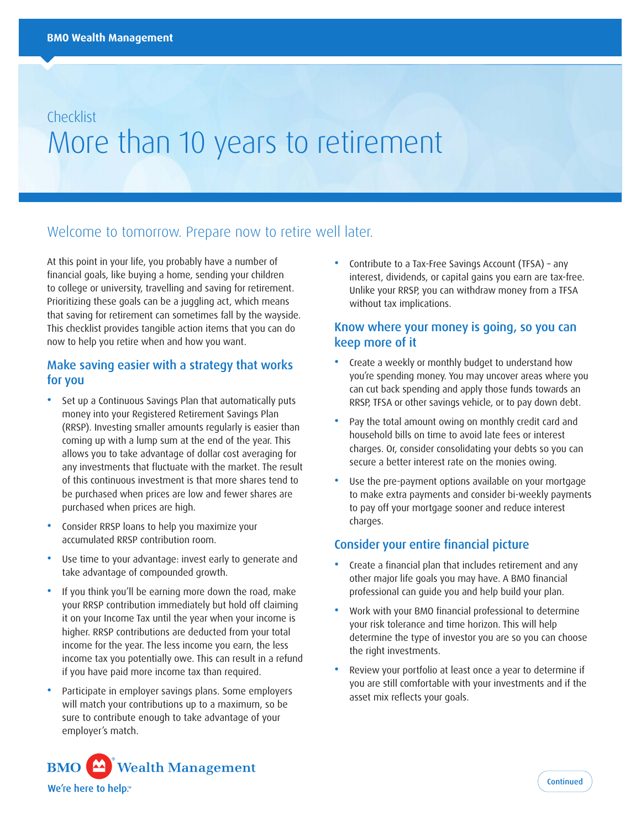# Checklist More than 10 years to retirement

# Welcome to tomorrow. Prepare now to retire well later.

At this point in your life, you probably have a number of financial goals, like buying a home, sending your children to college or university, travelling and saving for retirement. Prioritizing these goals can be a juggling act, which means that saving for retirement can sometimes fall by the wayside. This checklist provides tangible action items that you can do now to help you retire when and how you want.

## Make saving easier with a strategy that works for you

- Set up a Continuous Savings Plan that automatically puts money into your Registered Retirement Savings Plan (RRSP). Investing smaller amounts regularly is easier than coming up with a lump sum at the end of the year. This allows you to take advantage of dollar cost averaging for any investments that fluctuate with the market. The result of this continuous investment is that more shares tend to be purchased when prices are low and fewer shares are purchased when prices are high.
- Consider RRSP loans to help you maximize your accumulated RRSP contribution room.
- Use time to your advantage: invest early to generate and take advantage of compounded growth.
- If you think you'll be earning more down the road, make your RRSP contribution immediately but hold off claiming it on your Income Tax until the year when your income is higher. RRSP contributions are deducted from your total income for the year. The less income you earn, the less income tax you potentially owe. This can result in a refund if you have paid more income tax than required.
- Participate in employer savings plans. Some employers will match your contributions up to a maximum, so be sure to contribute enough to take advantage of your employer's match.

• Contribute to a Tax-Free Savings Account (TFSA) – any interest, dividends, or capital gains you earn are tax-free. Unlike your RRSP, you can withdraw money from a TFSA without tax implications.

#### Know where your money is going, so you can keep more of it

- Create a weekly or monthly budget to understand how you're spending money. You may uncover areas where you can cut back spending and apply those funds towards an RRSP, TFSA or other savings vehicle, or to pay down debt.
- Pay the total amount owing on monthly credit card and household bills on time to avoid late fees or interest charges. Or, consider consolidating your debts so you can secure a better interest rate on the monies owing.
- Use the pre-payment options available on your mortgage to make extra payments and consider bi-weekly payments to pay off your mortgage sooner and reduce interest charges.

## Consider your entire financial picture

- Create a financial plan that includes retirement and any other major life goals you may have. A BMO financial professional can guide you and help build your plan.
- Work with your BMO financial professional to determine your risk tolerance and time horizon. This will help determine the type of investor you are so you can choose the right investments.
- Review your portfolio at least once a year to determine if you are still comfortable with your investments and if the asset mix reflects your goals.